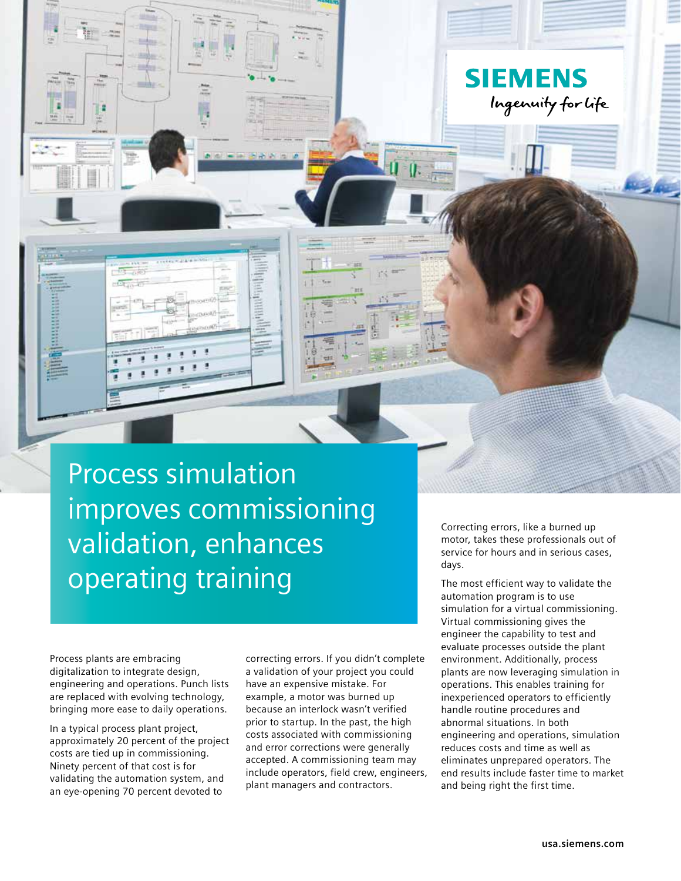

Process plants are embracing digitalization to integrate design, engineering and operations. Punch lists are replaced with evolving technology, bringing more ease to daily operations.

In a typical process plant project, approximately 20 percent of the project costs are tied up in commissioning. Ninety percent of that cost is for validating the automation system, and an eye-opening 70 percent devoted to

correcting errors. If you didn't complete a validation of your project you could have an expensive mistake. For example, a motor was burned up because an interlock wasn't verified prior to startup. In the past, the high costs associated with commissioning and error corrections were generally accepted. A commissioning team may include operators, field crew, engineers, plant managers and contractors.

Correcting errors, like a burned up motor, takes these professionals out of service for hours and in serious cases, days.

**SIEMENS** 

Ingenuity for life

The most efficient way to validate the automation program is to use simulation for a virtual commissioning. Virtual commissioning gives the engineer the capability to test and evaluate processes outside the plant environment. Additionally, process plants are now leveraging simulation in operations. This enables training for inexperienced operators to efficiently handle routine procedures and abnormal situations. In both engineering and operations, simulation reduces costs and time as well as eliminates unprepared operators. The end results include faster time to market and being right the first time.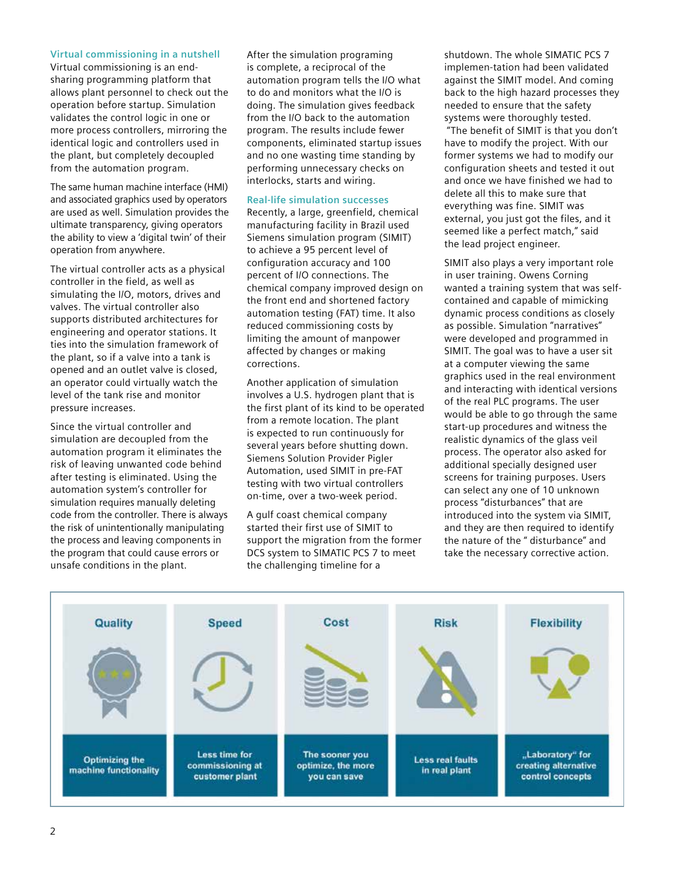# **Virtual commissioning in a nutshell**

Virtual commissioning is an endsharing programming platform that allows plant personnel to check out the operation before startup. Simulation validates the control logic in one or more process controllers, mirroring the identical logic and controllers used in the plant, but completely decoupled from the automation program.

The same human machine interface (HMI) and associated graphics used by operators are used as well. Simulation provides the ultimate transparency, giving operators the ability to view a 'digital twin' of their operation from anywhere.

The virtual controller acts as a physical controller in the field, as well as simulating the I/O, motors, drives and valves. The virtual controller also supports distributed architectures for engineering and operator stations. It ties into the simulation framework of the plant, so if a valve into a tank is opened and an outlet valve is closed, an operator could virtually watch the level of the tank rise and monitor pressure increases.

Since the virtual controller and simulation are decoupled from the automation program it eliminates the risk of leaving unwanted code behind after testing is eliminated. Using the automation system's controller for simulation requires manually deleting code from the controller. There is always the risk of unintentionally manipulating the process and leaving components in the program that could cause errors or unsafe conditions in the plant.

After the simulation programing is complete, a reciprocal of the automation program tells the I/O what to do and monitors what the I/O is doing. The simulation gives feedback from the I/O back to the automation program. The results include fewer components, eliminated startup issues and no one wasting time standing by performing unnecessary checks on interlocks, starts and wiring.

#### **Real-life simulation successes**

Recently, a large, greenfield, chemical manufacturing facility in Brazil used Siemens simulation program (SIMIT) to achieve a 95 percent level of configuration accuracy and 100 percent of I/O connections. The chemical company improved design on the front end and shortened factory automation testing (FAT) time. It also reduced commissioning costs by limiting the amount of manpower affected by changes or making corrections.

Another application of simulation involves a U.S. hydrogen plant that is the first plant of its kind to be operated from a remote location. The plant is expected to run continuously for several years before shutting down. Siemens Solution Provider Pigler Automation, used SIMIT in pre-FAT testing with two virtual controllers on-time, over a two-week period.

A gulf coast chemical company started their first use of SIMIT to support the migration from the former DCS system to SIMATIC PCS 7 to meet the challenging timeline for a

shutdown. The whole SIMATIC PCS 7 implemen-tation had been validated against the SIMIT model. And coming back to the high hazard processes they needed to ensure that the safety systems were thoroughly tested. "The benefit of SIMIT is that you don't have to modify the project. With our former systems we had to modify our configuration sheets and tested it out and once we have finished we had to delete all this to make sure that everything was fine. SIMIT was external, you just got the files, and it seemed like a perfect match," said the lead project engineer.

SIMIT also plays a very important role in user training. Owens Corning wanted a training system that was selfcontained and capable of mimicking dynamic process conditions as closely as possible. Simulation "narratives" were developed and programmed in SIMIT. The goal was to have a user sit at a computer viewing the same graphics used in the real environment and interacting with identical versions of the real PLC programs. The user would be able to go through the same start-up procedures and witness the realistic dynamics of the glass veil process. The operator also asked for additional specially designed user screens for training purposes. Users can select any one of 10 unknown process "disturbances" that are introduced into the system via SIMIT, and they are then required to identify the nature of the " disturbance" and take the necessary corrective action.

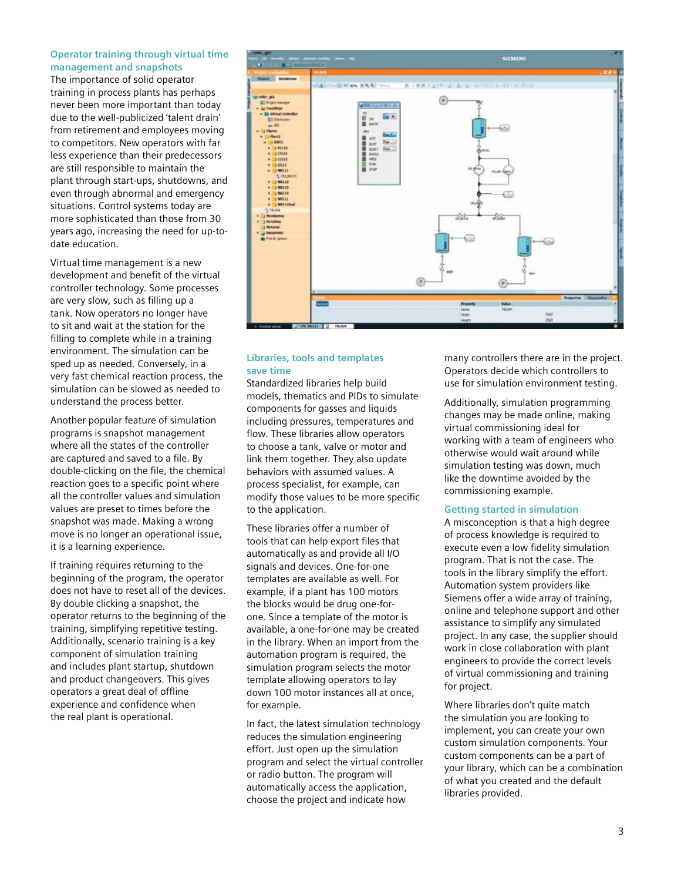### **Operator training through virtual time management and snapshots**

The importance of solid operator training in process plants has perhaps never been more important than today due to the well-publicized 'talent drain' from retirement and employees moving to competitors. New operators with far less experience than their predecessors are still responsible to maintain the plant through start-ups, shutdowns, and even through abnormal and emergency situations. Control systems today are more sophisticated than those from 30 years ago, increasing the need for up-todate education.

Virtual time management is a new development and benefit of the virtual controller technology. Some processes are very slow, such as filling up a tank. Now operators no longer have to sit and wait at the station for the filling to complete while in a training environment. The simulation can be sped up as needed. Conversely, in a very fast chemical reaction process, the simulation can be slowed as needed to understand the process better.

Another popular feature of simulation programs is snapshot management where all the states of the controller are captured and saved to a file. By double-clicking on the file, the chemical reaction goes to a specific point where all the controller values and simulation values are preset to times before the snapshot was made. Making a wrong move is no longer an operational issue, it is a learning experience.

If training requires returning to the beginning of the program, the operator does not have to reset all of the devices. By double clicking a snapshot, the operator returns to the beginning of the training, simplifying repetitive testing. Additionally, scenario training is a key component of simulation training and includes plant startup, shutdown and product changeovers. This gives operators a great deal of offline experience and confidence when the real plant is operational.



# **Libraries, tools and templates save time**

Standardized libraries help build models, thematics and PIDs to simulate components for gasses and liquids including pressures, temperatures and flow. These libraries allow operators to choose a tank, valve or motor and link them together. They also update behaviors with assumed values. A process specialist, for example, can modify those values to be more specific to the application.

These libraries offer a number of tools that can help export files that automatically as and provide all I/O signals and devices. One-for-one templates are available as well. For example, if a plant has 100 motors the blocks would be drug one-forone. Since a template of the motor is available, a one-for-one may be created in the library. When an import from the automation program is required, the simulation program selects the motor template allowing operators to lay down 100 motor instances all at once, for example.

In fact, the latest simulation technology reduces the simulation engineering effort. Just open up the simulation program and select the virtual controller or radio button. The program will automatically access the application, choose the project and indicate how

many controllers there are in the project. Operators decide which controllers to use for simulation environment testing.

Additionally, simulation programming changes may be made online, making virtual commissioning ideal for working with a team of engineers who otherwise would wait around while simulation testing was down, much like the downtime avoided by the commissioning example.

### **Getting started in simulation**

A misconception is that a high degree of process knowledge is required to execute even a low fidelity simulation program. That is not the case. The tools in the library simplify the effort. Automation system providers like Siemens offer a wide array of training, online and telephone support and other assistance to simplify any simulated project. In any case, the supplier should work in close collaboration with plant engineers to provide the correct levels of virtual commissioning and training for project.

Where libraries don't quite match the simulation you are looking to implement, you can create your own custom simulation components. Your custom components can be a part of your library, which can be a combination of what you created and the default libraries provided.